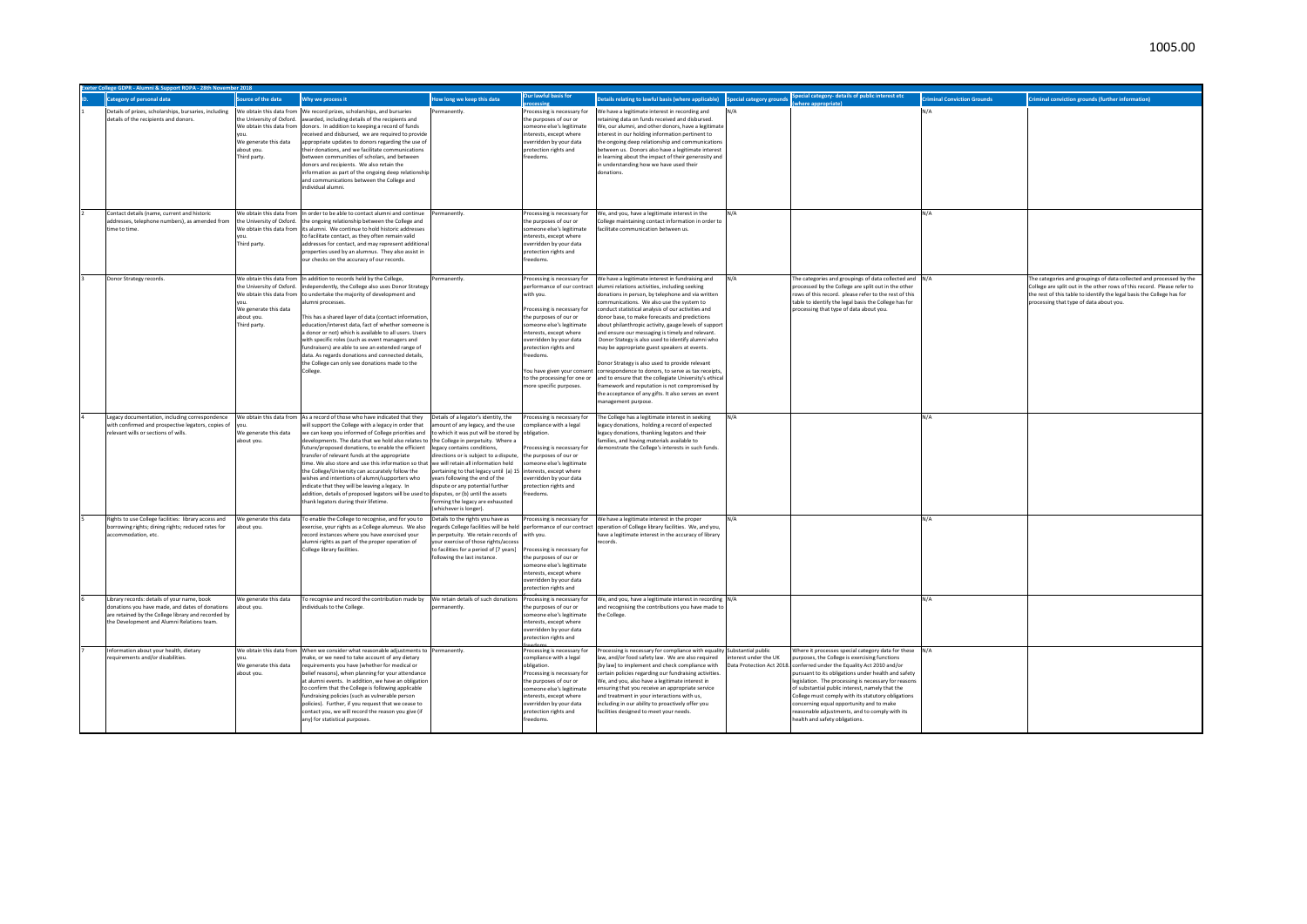| Category of personal data                                                                                                                                                                           | ource of the data                                                                                                                        | Why we process it                                                                                                                                                                                                                                                                                                                                                                                                                                                                                                                                                                                                                                                                                                     | low long we keep this data                                                                                                                                                                                                                                                                                                                                                                                     | <b>Jur lawful basis for</b>                                                                                                                                                                                                                                                       | etails relating to lawful basis (where applicable) <b>Special category grounds</b> special category-details of public interest etc                                                                                                                                                                                                                                                                                                                                                                                                                                                                                                                                                                                                                                                                                                                                                    |     |                                                                                                                                                                                                                                                                                                                                                                                                                                                                 | <b>Iriminal Conviction Grounds</b> | <b>Criminal conviction grounds (further information)</b>                                                                                                                                                                                                            |
|-----------------------------------------------------------------------------------------------------------------------------------------------------------------------------------------------------|------------------------------------------------------------------------------------------------------------------------------------------|-----------------------------------------------------------------------------------------------------------------------------------------------------------------------------------------------------------------------------------------------------------------------------------------------------------------------------------------------------------------------------------------------------------------------------------------------------------------------------------------------------------------------------------------------------------------------------------------------------------------------------------------------------------------------------------------------------------------------|----------------------------------------------------------------------------------------------------------------------------------------------------------------------------------------------------------------------------------------------------------------------------------------------------------------------------------------------------------------------------------------------------------------|-----------------------------------------------------------------------------------------------------------------------------------------------------------------------------------------------------------------------------------------------------------------------------------|---------------------------------------------------------------------------------------------------------------------------------------------------------------------------------------------------------------------------------------------------------------------------------------------------------------------------------------------------------------------------------------------------------------------------------------------------------------------------------------------------------------------------------------------------------------------------------------------------------------------------------------------------------------------------------------------------------------------------------------------------------------------------------------------------------------------------------------------------------------------------------------|-----|-----------------------------------------------------------------------------------------------------------------------------------------------------------------------------------------------------------------------------------------------------------------------------------------------------------------------------------------------------------------------------------------------------------------------------------------------------------------|------------------------------------|---------------------------------------------------------------------------------------------------------------------------------------------------------------------------------------------------------------------------------------------------------------------|
| Details of prizes, scholarships, bursaries, including We obtain this data from We record prizes, scholarships, and bursaries<br>details of the recipients and donors.                               | the University of Oxford.<br>We obtain this data from<br>We generate this data<br>about you.<br>Third party.                             | awarded, including details of the recipients and<br>donors. In addition to keeping a record of funds<br>eceived and disbursed, we are required to provide<br>ppropriate updates to donors regarding the use of<br>their donations, and we facilitate communications<br>etween communities of scholars, and between<br>lonors and recipients. We also retain the<br>nformation as part of the ongoing deep relationshi<br>and communications between the College and<br>individual alumni.                                                                                                                                                                                                                             | manently                                                                                                                                                                                                                                                                                                                                                                                                       | Processing is necessary for<br>the purposes of our or<br>omeone else's legitimate<br>nterests, except where<br>verridden by your data<br>protection rights and<br>reedoms.                                                                                                        | We have a legitimate interest in recording and<br>retaining data on funds received and disbursed.<br>We, our alumni, and other donors, have a legitimate<br>interest in our holding information pertinent to<br>the ongoing deep relationship and communications<br>between us. Donors also have a legitimate interest<br>in learning about the impact of their generosity and<br>in understanding how we have used their<br>lonations.                                                                                                                                                                                                                                                                                                                                                                                                                                               |     |                                                                                                                                                                                                                                                                                                                                                                                                                                                                 | N/A                                |                                                                                                                                                                                                                                                                     |
| Contact details (name, current and historic<br>addresses, telephone numbers), as amended from<br>time to time                                                                                       | the University of Oxford.<br>We obtain this data from<br>Third party.                                                                    | We obtain this data from In order to be able to contact alumni and continue<br>the ongoing relationship between the College and<br>its alumni. We continue to hold historic addresses<br>to facilitate contact, as they often remain valid<br>addresses for contact, and may represent additiona<br>properties used by an alumnus. They also assist in<br>our checks on the accuracy of our records.                                                                                                                                                                                                                                                                                                                  | ermanently                                                                                                                                                                                                                                                                                                                                                                                                     | Processing is necessary for<br>the purposes of our or<br>meone else's legitimate<br>interests, except where<br>verridden by your data<br>protection rights and<br>reedoms.                                                                                                        | We, and you, have a legitimate interest in the<br>College maintaining contact information in order to<br>facilitate communication between us.                                                                                                                                                                                                                                                                                                                                                                                                                                                                                                                                                                                                                                                                                                                                         | N/A |                                                                                                                                                                                                                                                                                                                                                                                                                                                                 | N/A                                |                                                                                                                                                                                                                                                                     |
| Donor Strategy records.                                                                                                                                                                             | We obtain this data from<br>the University of Oxford.<br>We obtain this data from<br>We generate this data<br>about you.<br>Third party. | n addition to records held by the College,<br>ndependently, the College also uses Donor Strategy<br>to undertake the majority of development and<br>umni processes.<br>This has a shared laver of data (contact information<br>education/interest data, fact of whether someone<br>a donor or not) which is available to all users. Users<br>with specific roles (such as event managers and<br>fundraisers) are able to see an extended range of<br>data. As regards donations and connected details,<br>the College can only see donations made to the<br>College.                                                                                                                                                  | ermanently.                                                                                                                                                                                                                                                                                                                                                                                                    | with you.<br>Processing is necessary for<br>the purposes of our or<br>omeone else's legitimate<br>nterests, except where<br>werridden by your data<br>protection rights and<br>reedoms.<br>You have given your consent<br>to the processing for one or<br>nore specific purposes. | rocessing is necessary for We have a legitimate interest in fundraising and<br>erformance of our contract alumni relations activities, including seeking<br>onations in person, by telephone and via written<br>mmunications. We also use the system to<br>conduct statistical analysis of our activities and<br>donor base, to make forecasts and predictions<br>about philanthropic activity, gauge levels of support<br>and ensure our messaging is timely and relevant.<br>Donor Stategy is also used to identify alumni who<br>may be appropriate guest speakers at events.<br>Donor Strategy is also used to provide relevant<br>correspondence to donors, to serve as tax receipts,<br>and to ensure that the collegiate University's ethical<br>framework and reputation is not compromised by<br>the acceptance of any gifts. It also serves an event<br>management purpose. | N/A | The categories and groupings of data collected and N/A<br>processed by the College are split out in the other<br>rows of this record. please refer to the rest of this<br>table to identify the legal basis the College has for<br>processing that type of data about you.                                                                                                                                                                                      |                                    | The categories and groupings of data collected and processed by the<br>College are split out in the other rows of this record. Please refer to<br>the rest of this table to identify the legal basis the College has for<br>processing that type of data about you. |
| Legacy documentation, including correspondence<br>with confirmed and prospective legators, copies of<br>relevant wills or sections of wills.                                                        | We obtain this data from<br>We generate this data<br>about you.                                                                          | As a record of those who have indicated that they<br>will support the College with a legacy in order that<br>we can keep you informed of College priorities and<br>developments. The data that we hold also relates to the College in perpetuity. Where a<br>future/proposed donations, to enable the efficient<br>ransfer of relevant funds at the appropriate<br>time. We also store and use this information so that<br>the College/University can accurately follow the<br>wishes and intentions of alumni/supporters who<br>indicate that they will be leaving a legacy. In<br>addition, details of proposed legators will be used to disputes, or (b) until the assets<br>thank legators during their lifetime. | Details of a legator's identity, the<br>nount of any legacy, and the use<br>to which it was put will be stored by<br>legacy contains conditions.<br>directions or is subject to a dispute,<br>we will retain all information held<br>pertaining to that legacy until (a) 15<br>vears following the end of the<br>dispute or any potential further<br>forming the legacy are exhausted<br>whichever is longer). | Processing is necessary for<br>ompliance with a legal<br>obligation.<br>rocessing is necessary for<br>the purposes of our or<br>omeone else's legitimate<br>interests, except where<br>werridden by your data<br>rotection rights and<br>reedoms.                                 | The College has a legitimate interest in seeking<br>legacy donations, holding a record of expected<br>legacy donations, thanking legators and their<br>families, and having materials available to<br>demonstrate the College's interests in such funds.                                                                                                                                                                                                                                                                                                                                                                                                                                                                                                                                                                                                                              | N/A |                                                                                                                                                                                                                                                                                                                                                                                                                                                                 | N/A                                |                                                                                                                                                                                                                                                                     |
| Rights to use College facilities: library access and<br>borrowing rights; dining rights; reduced rates for<br>accommodation, etc.                                                                   | We generate this data<br>about you.                                                                                                      | To enable the College to recognise, and for you to<br>exercise, your rights as a College alumnus. We also<br>record instances where you have exercised your<br>umni rights as part of the proper operation of<br>College library facilities.                                                                                                                                                                                                                                                                                                                                                                                                                                                                          | Details to the rights you have as<br>egards College facilities will be held<br>n perpetuity. We retain records of with you.<br>our exercise of those rights/access<br>to facilities for a period of [7 years]<br>following the last instance.                                                                                                                                                                  | Processing is necessary for<br>the purposes of our or<br>omeone else's legitimate<br>terests, except where<br>werridden by your data<br>rotection rights and                                                                                                                      | Processing is necessary for We have a legitimate interest in the proper<br>performance of our contract operation of College library facilities. We, and you,<br>have a legitimate interest in the accuracy of library                                                                                                                                                                                                                                                                                                                                                                                                                                                                                                                                                                                                                                                                 |     |                                                                                                                                                                                                                                                                                                                                                                                                                                                                 | N/A                                |                                                                                                                                                                                                                                                                     |
| Library records: details of your name, book<br>donations you have made, and dates of donations<br>are retained by the College library and recorded by<br>the Development and Alumni Relations team. | Ne generate this data<br>about vou.                                                                                                      | To recognise and record the contribution made by<br>ndividuals to the College                                                                                                                                                                                                                                                                                                                                                                                                                                                                                                                                                                                                                                         | We retain details of such donations<br><b>Irmanently</b>                                                                                                                                                                                                                                                                                                                                                       | Processing is necessary for<br>he purposes of our or<br>omeone else's legitimate<br>nterests, except where<br>verridden by your data<br>rotection rights and                                                                                                                      | We, and you, have a legitimate interest in recording N/A<br>and recognising the contributions you have made to<br>the College.                                                                                                                                                                                                                                                                                                                                                                                                                                                                                                                                                                                                                                                                                                                                                        |     |                                                                                                                                                                                                                                                                                                                                                                                                                                                                 | N/A                                |                                                                                                                                                                                                                                                                     |
| Information about your health, dietary<br>requirements and/or disabilities.                                                                                                                         | We generate this data<br>about vou.                                                                                                      | We obtain this data from When we consider what reasonable adjustments to Permanently.<br>make, or we need to take account of any dietary<br>requirements you have (whether for medical or<br>belief reasons), when planning for your attendance<br>at alumni events. In addition, we have an obligatior<br>to confirm that the College is following applicable<br>undraising policies (such as vulnerable person<br>policies). Further, if you request that we cease to<br>ontact you, we will record the reason you give (if<br>any) for statistical purposes.                                                                                                                                                       |                                                                                                                                                                                                                                                                                                                                                                                                                | Processing is necessary for<br>compliance with a legal<br>obligation.<br>rocessing is necessary for<br>the purposes of our or<br>omeone else's legitimate<br>nterests, except where<br>werridden by vour data<br>rotection rights and<br>reedoms.                                 | Processing is necessary for compliance with equality Substantial public<br>law, and/or food safety law. We are also required linterest under the UK<br>[by law] to implement and check compliance with Data Protection Act 2018. conferred under the Equality Act 2010 and/or<br>certain policies regarding our fundraising activities.<br>We, and you, also have a legitimate interest in<br>ensuring that you receive an appropriate service<br>and treatment in your interactions with us,<br>including in our ability to proactively offer you<br>facilities designed to meet your needs.                                                                                                                                                                                                                                                                                         |     | Where it processes special category data for these N/A<br>purposes, the College is exercising functions<br>pursuant to its obligations under health and safety<br>legislation. The processing is necessary for reasons<br>of substantial public interest, namely that the<br>College must comply with its statutory obligations<br>concerning equal opportunity and to make<br>reasonable adjustments, and to comply with its<br>health and safety obligations. |                                    |                                                                                                                                                                                                                                                                     |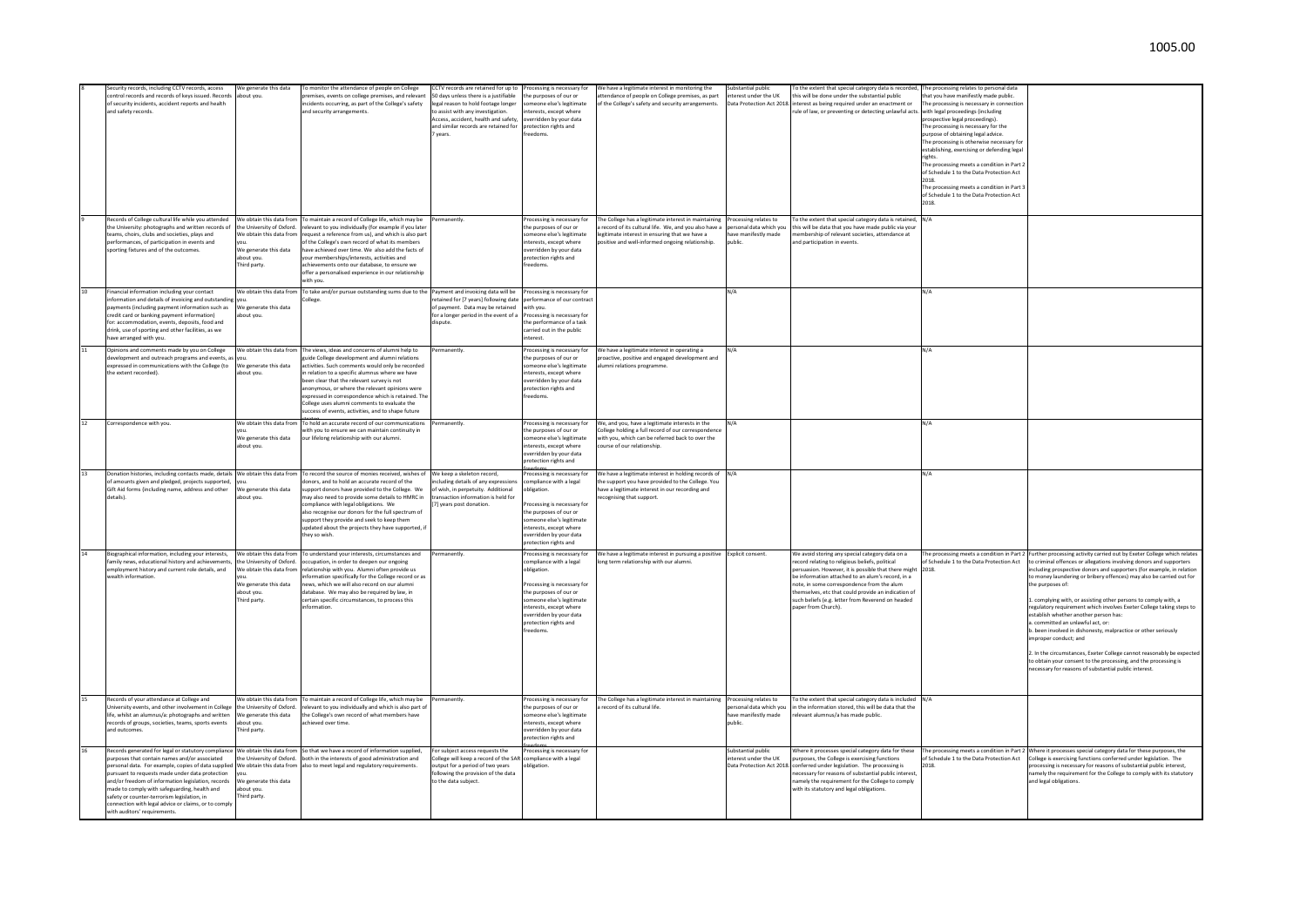| Security records, including CCTV records, access<br>control records and records of keys issued. Records<br>of security incidents, accident reports and health<br>and safety records.                                                                                                                                                                                                                                                                                                                                                 | We generate this data<br>about you.                                                                          | To monitor the attendance of people on College<br>premises, events on college premises, and relevant<br>incidents occurring, as part of the College's safety<br>and security arrangements                                                                                                                                                                                                                                                                             | CCTV records are retained for up to<br>50 days unless there is a justifiable<br>legal reason to hold footage longer<br>to assist with any investigation.<br>Access, accident, health and safety.<br>and similar records are retained for<br>vears. | Processing is necessary for<br>he purposes of our or<br>omeone else's legitimate<br>terests, except where<br>werridden by your data<br>protection rights and<br>reedoms                                                                        | We have a legitimate interest in monitoring the<br>ttendance of people on College premises, as part<br>the College's safety and security arrangements.                                                           | Substantial public<br>terest under the UK<br>Jata Protection Act 2018.             | To the extent that special category data is recorded, The processing relates to personal data<br>this will be done under the substantial public<br>interest as being required under an enactment or<br>rule of law, or preventing or detecting unlawful acts. with legal proceedings (including                                                                                                   | hat you have manifestly made public.<br>The processing is necessary in connection<br>prospective legal proceedings).<br>The processing is necessary for the<br>purpose of obtaining legal advice.<br>The processing is otherwise necessary fo<br>establishing, exercising or defending legal<br>rights.<br>The processing meets a condition in Part :<br>of Schedule 1 to the Data Protection Act<br>2018.<br>The processing meets a condition in Part 3<br>of Schedule 1 to the Data Protection Act<br>2018 |                                                                                                                                                                                                                                                                                                                                                                                                                                                                                                                                                                                                                                                                                                                                                                                                                                                                                       |
|--------------------------------------------------------------------------------------------------------------------------------------------------------------------------------------------------------------------------------------------------------------------------------------------------------------------------------------------------------------------------------------------------------------------------------------------------------------------------------------------------------------------------------------|--------------------------------------------------------------------------------------------------------------|-----------------------------------------------------------------------------------------------------------------------------------------------------------------------------------------------------------------------------------------------------------------------------------------------------------------------------------------------------------------------------------------------------------------------------------------------------------------------|----------------------------------------------------------------------------------------------------------------------------------------------------------------------------------------------------------------------------------------------------|------------------------------------------------------------------------------------------------------------------------------------------------------------------------------------------------------------------------------------------------|------------------------------------------------------------------------------------------------------------------------------------------------------------------------------------------------------------------|------------------------------------------------------------------------------------|---------------------------------------------------------------------------------------------------------------------------------------------------------------------------------------------------------------------------------------------------------------------------------------------------------------------------------------------------------------------------------------------------|--------------------------------------------------------------------------------------------------------------------------------------------------------------------------------------------------------------------------------------------------------------------------------------------------------------------------------------------------------------------------------------------------------------------------------------------------------------------------------------------------------------|---------------------------------------------------------------------------------------------------------------------------------------------------------------------------------------------------------------------------------------------------------------------------------------------------------------------------------------------------------------------------------------------------------------------------------------------------------------------------------------------------------------------------------------------------------------------------------------------------------------------------------------------------------------------------------------------------------------------------------------------------------------------------------------------------------------------------------------------------------------------------------------|
| Records of College cultural life while you attended<br>the University: photographs and written records of<br>teams, choirs, clubs and societies, plays and<br>erformances, of participation in events and<br>sporting fixtures and of the outcomes.                                                                                                                                                                                                                                                                                  | the University of Oxford.<br>We obtain this data from<br>We generate this data<br>about vou.<br>Third party. | We obtain this data from To maintain a record of College life, which may be<br>relevant to you individually (for example if you later<br>request a reference from us), and which is also part<br>of the College's own record of what its members<br>have achieved over time. We also add the facts of<br>vour memberships/interests, activities and<br>achievements onto our database, to ensure we<br>offer a personalised experience in our relationship<br>ith you | Permanently                                                                                                                                                                                                                                        | Processing is necessary for<br>the purposes of our or<br>omeone else's legitimate<br>terests, except where<br>werridden by your data<br>protection rights and<br>reedoms.                                                                      | The College has a legitimate interest in maintaining<br>record of its cultural life. We, and you also have a<br>egitimate interest in ensuring that we have a<br>psitive and well-informed ongoing relationship. | Processing relates to<br>personal data which you<br>ave manifestly made<br>ublic   | o the extent that special category data is retained, N/A<br>his will be data that you have made public via your<br>embership of relevant societies, attendance at<br>and participation in events.                                                                                                                                                                                                 |                                                                                                                                                                                                                                                                                                                                                                                                                                                                                                              |                                                                                                                                                                                                                                                                                                                                                                                                                                                                                                                                                                                                                                                                                                                                                                                                                                                                                       |
| Financial information including your contact<br>information and details of invoicing and outstandir<br>payments (including payment information such as<br>credit card or banking payment information)<br>for: accommodation, events, deposits, food and<br>drink, use of sporting and other facilities, as we<br>have arranged with you.                                                                                                                                                                                             | We obtain this data from<br>We generate this data<br>out you                                                 | To take and/or pursue outstanding sums due to the Payment and invoicing data will be                                                                                                                                                                                                                                                                                                                                                                                  | etained for [7 years] following date<br>of payment. Data may be retained<br>for a longer period in the event of a<br>dispute.                                                                                                                      | Processing is necessary for<br>erformance of our contrac<br>with you.<br>rocessing is necessary for<br>the performance of a task<br>arried out in the public<br>iterest.                                                                       |                                                                                                                                                                                                                  | N/A                                                                                |                                                                                                                                                                                                                                                                                                                                                                                                   | N/A                                                                                                                                                                                                                                                                                                                                                                                                                                                                                                          |                                                                                                                                                                                                                                                                                                                                                                                                                                                                                                                                                                                                                                                                                                                                                                                                                                                                                       |
| Opinions and comments made by you on College<br>development and outreach programs and events, as you<br>expressed in communications with the College (to<br>the extent recorded).                                                                                                                                                                                                                                                                                                                                                    | We obtain this data from<br>We generate this data<br>bout you.                                               | The views, ideas and concerns of alumni help to<br>guide College development and alumni relations<br>activities. Such comments would only be recorded<br>relation to a specific alumnus where we have<br>een clear that the relevant survey is not<br>inonymous, or where the relevant opinions were<br>expressed in correspondence which is retained. The<br>college uses alumni comments to evaluate the<br>uccess of events, activities, and to shape future       | ermanently                                                                                                                                                                                                                                         | rocessing is necessary for<br>the purposes of our or<br>omeone else's legitimate<br>iterests, except where<br>verridden by vour data<br>protection rights and<br>reedoms.                                                                      | We have a legitimate interest in operating a<br>roactive, positive and engaged development and<br>umni relations programme.                                                                                      |                                                                                    |                                                                                                                                                                                                                                                                                                                                                                                                   | N/A                                                                                                                                                                                                                                                                                                                                                                                                                                                                                                          |                                                                                                                                                                                                                                                                                                                                                                                                                                                                                                                                                                                                                                                                                                                                                                                                                                                                                       |
| Correspondence with you                                                                                                                                                                                                                                                                                                                                                                                                                                                                                                              | We generate this data<br>about you.                                                                          | We obtain this data from To hold an accurate record of our communications<br>vith you to ensure we can maintain continuity in<br>our lifelong relationship with our alumni.                                                                                                                                                                                                                                                                                           | Permanently                                                                                                                                                                                                                                        | Processing is necessary for<br>the purposes of our or<br>omeone else's legitimate<br>terests, except where<br>verridden by your data<br>rotection rights and                                                                                   | We, and you, have a legitimate interests in the<br>ollege holding a full record of our correspondence<br>vith you, which can be referred back to over the<br>ourse of our relationship.                          |                                                                                    |                                                                                                                                                                                                                                                                                                                                                                                                   | N/A                                                                                                                                                                                                                                                                                                                                                                                                                                                                                                          |                                                                                                                                                                                                                                                                                                                                                                                                                                                                                                                                                                                                                                                                                                                                                                                                                                                                                       |
| Donation histories, including contacts made, details We obtain this data from<br>of amounts given and pledged, projects supported,<br>Gift Aid forms (including name, address and other<br>details)                                                                                                                                                                                                                                                                                                                                  | We generate this data<br>bout vou.                                                                           | To record the source of monies received, wishes of<br>onors, and to hold an accurate record of the<br>upport donors have provided to the College. We<br>nav also need to provide some details to HMRC in<br>ompliance with legal obligations. We<br>also recognise our donors for the full spectrum of<br>upport they provide and seek to keep them<br>updated about the projects they have supported, if<br>hey so wish.                                             | We keep a skeleton record,<br>cluding details of any expressions<br>f wish, in perpetuity. Additional<br>ransaction information is held for<br>7] years post donation.                                                                             | rocessing is necessary for<br>ompliance with a legal<br>bligation.<br>rocessing is necessary for<br>the purposes of our or<br>omeone else's legitimate<br>iterests, except where<br>verridden by your data<br>rotection rights and             | We have a legitimate interest in holding records of<br>the support you have provided to the College. You<br>ave a legitimate interest in our recording and<br>cognising that support.                            | N/A                                                                                |                                                                                                                                                                                                                                                                                                                                                                                                   | N/A                                                                                                                                                                                                                                                                                                                                                                                                                                                                                                          |                                                                                                                                                                                                                                                                                                                                                                                                                                                                                                                                                                                                                                                                                                                                                                                                                                                                                       |
| Biographical information, including your interests.<br>family news, educational history and achievements<br>employment history and current role details, and<br>wealth information                                                                                                                                                                                                                                                                                                                                                   | he University of Oxford.<br>We obtain this data from<br>We generate this data<br>bout you.<br>Third party    | We obtain this data from To understand your interests, circumstances and<br>occupation, in order to deepen our ongoing<br>relationship with you. Alumni often provide us<br>iformation specifically for the College record or as<br>ews, which we will also record on our alumni<br>latabase. We may also be required by law, in<br>certain specific circumstances, to process this<br>formation                                                                      | Permanently                                                                                                                                                                                                                                        | Processing is necessary for<br>ompliance with a legal<br>obligation.<br>rocessing is necessary for<br>he purposes of our or<br>omeone else's legitimate<br>terests, except where<br>overridden by your data<br>rotection rights and<br>eedoms. | We have a legitimate interest in pursuing a positive<br>ing term relationship with our alumni                                                                                                                    | Explicit consent.                                                                  | We avoid storing any special category data on a<br>record relating to religious beliefs, political<br>ersuasion. However, it is possible that there might 2018.<br>e information attached to an alum's record, in a<br>note, in some correspondence from the alum<br>emselves, etc that could provide an indication of<br>such beliefs (e.g. letter from Reverend on headed<br>aper from Church). | of Schedule 1 to the Data Protection Act                                                                                                                                                                                                                                                                                                                                                                                                                                                                     | The processing meets a condition in Part 2 Further processing activity carried out by Exeter College which relates<br>to criminal offences or allegations involving donors and supporters<br>including prospective donors and supporters (for example, in relation<br>o money laundering or bribery offences) may also be carried out for<br>the purposes of:<br>1. complying with, or assisting other persons to comply with, a<br>regulatory requirement which involves Exeter College taking steps to<br>establish whether another person has:<br>. committed an unlawful act, or:<br>b. been involved in dishonesty, malpractice or other seriously<br>improper conduct: and<br>2. In the circumstances, Exeter College cannot reasonably be expected<br>to obtain your consent to the processing, and the processing is<br>necessary for reasons of substantial public interest. |
| Records of your attendance at College and<br>University events, and other involvement in College<br>life, whilst an alumnus/a: photographs and written<br>records of groups, societies, teams, sports events<br>and outcomes                                                                                                                                                                                                                                                                                                         | the University of Oxford.<br>We generate this data<br>about you.<br>Third party                              | We obtain this data from To maintain a record of College life, which may be<br>relevant to you individually and which is also part of<br>the College's own record of what members have<br>achieved over time.                                                                                                                                                                                                                                                         | Permanently                                                                                                                                                                                                                                        | Processing is necessary for<br>the nurnoses of our or<br>omeone else's legitimate<br>terests, except where<br>verridden by your data<br>rotection rights and                                                                                   | The College has a legitimate interest in maintaining<br>record of its cultural life.                                                                                                                             | Processing relates to<br>hersonal data which you<br>have manifestly made<br>nublic | To the extent that special category data is included N/A<br>n the information stored, this will be data that the<br>elevant alumnus/a has made public                                                                                                                                                                                                                                             |                                                                                                                                                                                                                                                                                                                                                                                                                                                                                                              |                                                                                                                                                                                                                                                                                                                                                                                                                                                                                                                                                                                                                                                                                                                                                                                                                                                                                       |
| Records generated for legal or statutory compliance We obtain this data from So that we have a record of information supplied,<br>purposes that contain names and/or associated<br>ersonal data. For example, copies of data supplied<br>pursuant to requests made under data protection<br>and/or freedom of information legislation, records<br>made to comply with safeguarding, health and<br>safety or counter-terrorism legislation, in<br>connection with legal advice or claims, or to compl<br>with auditors' requirements. | the University of Oxford.<br>We obtain this data from<br>We generate this data<br>about vou.<br>Third party. | both in the interests of good administration and<br>also to meet legal and regulatory requirements.                                                                                                                                                                                                                                                                                                                                                                   | or subject access requests the<br>college will keep a record of the SAR<br>output for a period of two years<br>ollowing the provision of the data<br>to the data subject.                                                                          | rocessing is necessary for<br>compliance with a legal<br>bligation.                                                                                                                                                                            |                                                                                                                                                                                                                  | Substantial public<br>nterest under the UK<br>ata Protection Act 2018              | Where it processes special category data for these<br>urposes, the College is exercising functions<br>nferred under legislation. The processing is<br>ecessary for reasons of substantial public interest.<br>amely the requirement for the College to comply<br>with its statutory and legal obligations                                                                                         | of Schedule 1 to the Data Protection Act<br>2018                                                                                                                                                                                                                                                                                                                                                                                                                                                             | The processing meets a condition in Part 2 Where it processes special category data for these purposes, the<br>College is exercising functions conferred under legislation. The<br>rocessing is necessary for reasons of substantial public interest,<br>namely the requirement for the College to comply with its statutory<br>and legal obligations.                                                                                                                                                                                                                                                                                                                                                                                                                                                                                                                                |